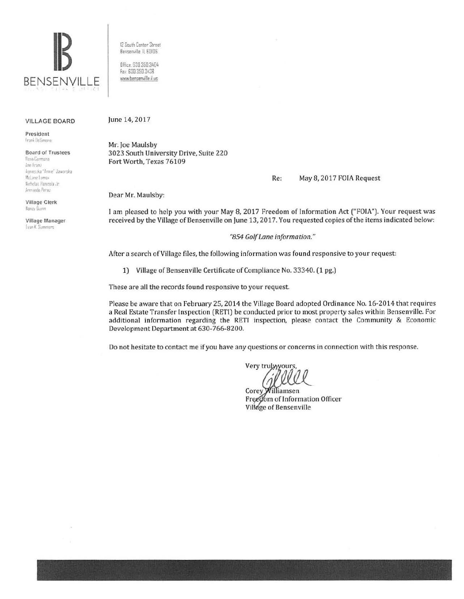

12 South [enter Street Bensermlle IL 60l06

Ofiice 630.350 3404 fax 630 350 3438 v.v.w.bensemille ii us

## VILLAGE BOARD

President Frank lieSimon

**Board of Trustees**<br>Rusa Carmona

 $Ann$  **Eranz** •'•110 **1· ril** f...-n **r"** JaHnrs~a McLane Lomax Nicholas Panicola Jr. Armanda Persz

Village Clerk Nancy Down

Village Manager **(Van K. Sunners)** 

June 14, 2017

Mr. Joe Maulsby 3023 South University Drive, Suite 220 Fort Worth, Texas 76109

Re: May 8, 2017 FOIA Request

Dear Mr. Maulsby:

1 am pleased to help you with your May 8, 2017 Freedom of Information Act ("FOIA"). Your request was received by the Village of Bensenville on June 13, 2017. You requested copies of the items indicated below:

*"854 Golf Lane information."* 

After a search of Village files, the following information was found responsive to your request:

1) Village of Bensenville Certificate of Compliance No. 33340. (1 pg.)

These are all the records found responsive to your request

Please be aware that on February 25, 2014 the Village Board adopted Ordinance No. 16-2014 that requires a Real Estate Transfer Inspection (RETl) be conducted prior to most property sales within Bensenville. For additional information regarding the RETI inspection, please contact the Community & Economic Development Department at 630-766-8200.

Do not hesitate to contact me if you have any questions or concerns in connection with this response.

Very trulyyyours, <sup>I</sup>*&\_R\_* 

Corey illiamsen Freedom of Information Officer Village of Bensenville